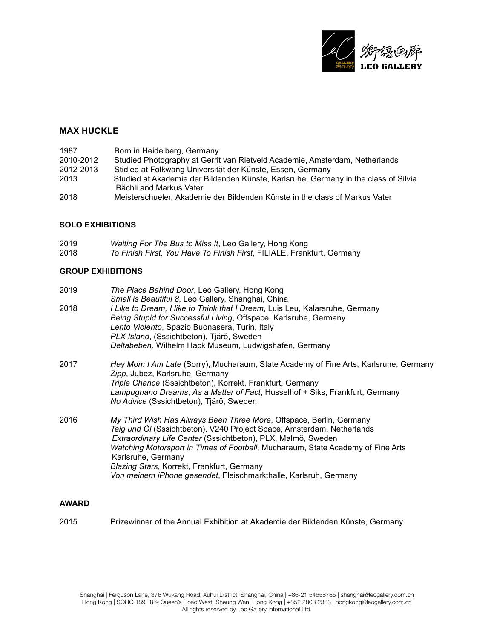

### **MAX HUCKLE**

| 1987      | Born in Heidelberg, Germany                                                         |
|-----------|-------------------------------------------------------------------------------------|
| 2010-2012 | Studied Photography at Gerrit van Rietveld Academie, Amsterdam, Netherlands         |
| 2012-2013 | Stidied at Folkwang Universität der Künste, Essen, Germany                          |
| 2013      | Studied at Akademie der Bildenden Künste, Karlsruhe, Germany in the class of Silvia |
|           | Bächli and Markus Vater                                                             |
| 2018      | Meisterschueler, Akademie der Bildenden Künste in the class of Markus Vater         |

### **SOLO EXHIBITIONS**

| 2019 | Waiting For The Bus to Miss It, Leo Gallery, Hong Kong                 |
|------|------------------------------------------------------------------------|
| 2018 | To Finish First, You Have To Finish First, FILIALE, Frankfurt, Germany |

### **GROUP EXHIBITIONS**

| 2019 | The Place Behind Door, Leo Gallery, Hong Kong                                                                           |
|------|-------------------------------------------------------------------------------------------------------------------------|
|      | Small is Beautiful 8, Leo Gallery, Shanghai, China                                                                      |
| 2018 | I Like to Dream, I like to Think that I Dream, Luis Leu, Kalarsruhe, Germany                                            |
|      | Being Stupid for Successful Living, Offspace, Karlsruhe, Germany                                                        |
|      | Lento Violento, Spazio Buonasera, Turin, Italy                                                                          |
|      | PLX Island, (Sssichtbeton), Tjärö, Sweden                                                                               |
|      | Deltabeben, Wilhelm Hack Museum, Ludwigshafen, Germany                                                                  |
| 2017 | Hey Mom I Am Late (Sorry), Mucharaum, State Academy of Fine Arts, Karlsruhe, Germany<br>Zipp, Jubez, Karlsruhe, Germany |
|      | Triple Chance (Sssichtbeton), Korrekt, Frankfurt, Germany                                                               |
|      | Lampugnano Dreams, As a Matter of Fact, Husselhof + Siks, Frankfurt, Germany                                            |
|      | No Advice (Sssichtbeton), Tjärö, Sweden                                                                                 |
| 2016 | My Third Wish Has Always Been Three More, Offspace, Berlin, Germany                                                     |
|      | Teig und Öl (Sssichtbeton), V240 Project Space, Amsterdam, Netherlands                                                  |
|      | Extraordinary Life Center (Sssichtbeton), PLX, Malmö, Sweden                                                            |
|      | Watching Motorsport in Times of Football, Mucharaum, State Academy of Fine Arts<br>Karlsruhe, Germany                   |
|      | Blazing Stars, Korrekt, Frankfurt, Germany                                                                              |
|      | Von meinem iPhone gesendet, Fleischmarkthalle, Karlsruh, Germany                                                        |
|      |                                                                                                                         |

### **AWARD**

2015 Prizewinner of the Annual Exhibition at Akademie der Bildenden Künste, Germany